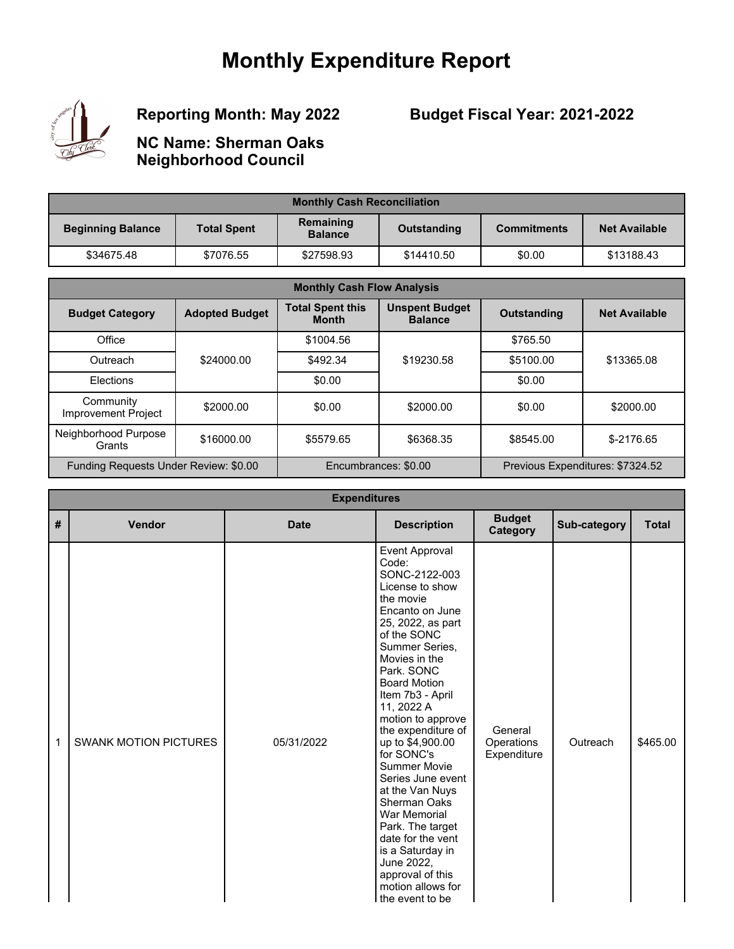## **Monthly Expenditure Report**



## **Reporting Month: May 2022**

## **Budget Fiscal Year: 2021-2022**

**NC Name: Sherman Oaks Neighborhood Council**

| <b>Monthly Cash Reconciliation</b> |                    |                             |             |                    |                      |  |
|------------------------------------|--------------------|-----------------------------|-------------|--------------------|----------------------|--|
| <b>Beginning Balance</b>           | <b>Total Spent</b> | Remaining<br><b>Balance</b> | Outstanding | <b>Commitments</b> | <b>Net Available</b> |  |
| \$34675.48                         | \$7076.55          | \$27598.93                  | \$14410.50  | \$0.00             | \$13188.43           |  |

| <b>Monthly Cash Flow Analysis</b>     |                       |                                         |                                         |                    |                                  |  |
|---------------------------------------|-----------------------|-----------------------------------------|-----------------------------------------|--------------------|----------------------------------|--|
| <b>Budget Category</b>                | <b>Adopted Budget</b> | <b>Total Spent this</b><br><b>Month</b> | <b>Unspent Budget</b><br><b>Balance</b> | <b>Outstanding</b> | <b>Net Available</b>             |  |
| Office                                |                       | \$1004.56                               |                                         | \$765.50           |                                  |  |
| Outreach                              | \$24000.00            | \$492.34                                | \$19230.58                              | \$5100.00          | \$13365.08                       |  |
| Elections                             |                       | \$0.00                                  |                                         | \$0.00             |                                  |  |
| Community<br>Improvement Project      | \$2000.00             | \$0.00                                  | \$2000.00                               | \$0.00             | \$2000.00                        |  |
| Neighborhood Purpose<br>Grants        | \$16000.00            | \$5579.65                               | \$6368.35                               | \$8545.00          | $$-2176.65$                      |  |
| Funding Requests Under Review: \$0.00 |                       |                                         | Encumbrances: \$0.00                    |                    | Previous Expenditures: \$7324.52 |  |

|   | <b>Expenditures</b>          |             |                                                                                                                                                                                                                                                                                                                                                                                                                                                                                                                                                              |                                      |              |              |  |  |  |
|---|------------------------------|-------------|--------------------------------------------------------------------------------------------------------------------------------------------------------------------------------------------------------------------------------------------------------------------------------------------------------------------------------------------------------------------------------------------------------------------------------------------------------------------------------------------------------------------------------------------------------------|--------------------------------------|--------------|--------------|--|--|--|
| # | Vendor                       | <b>Date</b> | <b>Description</b>                                                                                                                                                                                                                                                                                                                                                                                                                                                                                                                                           | <b>Budget</b><br>Category            | Sub-category | <b>Total</b> |  |  |  |
| 1 | <b>SWANK MOTION PICTURES</b> | 05/31/2022  | Event Approval<br>Code:<br>SONC-2122-003<br>License to show<br>the movie<br>Encanto on June<br>25, 2022, as part<br>of the SONC<br>Summer Series,<br>Movies in the<br>Park. SONC<br><b>Board Motion</b><br>Item 7b3 - April<br>11, 2022 A<br>motion to approve<br>the expenditure of<br>up to \$4,900.00<br>for SONC's<br><b>Summer Movie</b><br>Series June event<br>at the Van Nuys<br>Sherman Oaks<br>War Memorial<br>Park. The target<br>date for the vent<br>is a Saturday in<br>June 2022,<br>approval of this<br>motion allows for<br>the event to be | General<br>Operations<br>Expenditure | Outreach     | \$465.00     |  |  |  |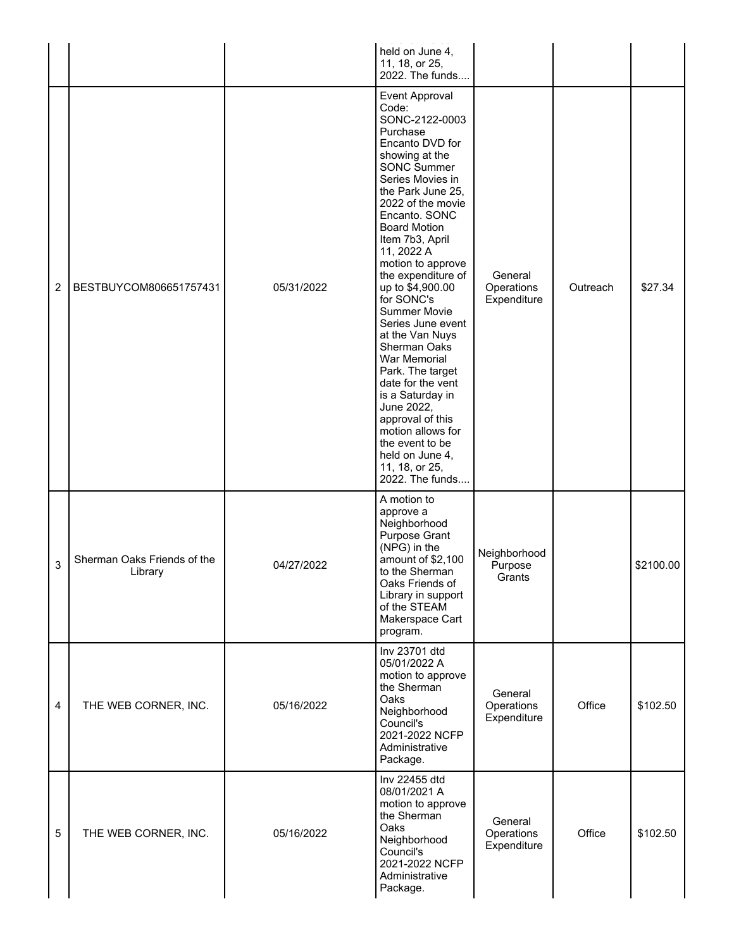|                |                                        |            | held on June 4,<br>11, 18, or 25,<br>2022. The funds                                                                                                                                                                                                                                                                                                                                                                                                                                                                                                                                                                               |                                      |          |           |
|----------------|----------------------------------------|------------|------------------------------------------------------------------------------------------------------------------------------------------------------------------------------------------------------------------------------------------------------------------------------------------------------------------------------------------------------------------------------------------------------------------------------------------------------------------------------------------------------------------------------------------------------------------------------------------------------------------------------------|--------------------------------------|----------|-----------|
| $\overline{c}$ | BESTBUYCOM806651757431                 | 05/31/2022 | Event Approval<br>Code:<br>SONC-2122-0003<br>Purchase<br>Encanto DVD for<br>showing at the<br><b>SONC Summer</b><br>Series Movies in<br>the Park June 25,<br>2022 of the movie<br>Encanto. SONC<br><b>Board Motion</b><br>Item 7b3, April<br>11, 2022 A<br>motion to approve<br>the expenditure of<br>up to \$4,900.00<br>for SONC's<br><b>Summer Movie</b><br>Series June event<br>at the Van Nuys<br>Sherman Oaks<br>War Memorial<br>Park. The target<br>date for the vent<br>is a Saturday in<br>June 2022,<br>approval of this<br>motion allows for<br>the event to be<br>held on June 4,<br>11, 18, or 25,<br>2022. The funds | General<br>Operations<br>Expenditure | Outreach | \$27.34   |
| 3              | Sherman Oaks Friends of the<br>Library | 04/27/2022 | A motion to<br>approve a<br>Neighborhood<br><b>Purpose Grant</b><br>(NPG) in the<br>amount of \$2,100<br>to the Sherman<br>Oaks Friends of<br>Library in support<br>of the STEAM<br>Makerspace Cart<br>program.                                                                                                                                                                                                                                                                                                                                                                                                                    | Neighborhood<br>Purpose<br>Grants    |          | \$2100.00 |
| $\overline{4}$ | THE WEB CORNER, INC.                   | 05/16/2022 | Inv 23701 dtd<br>05/01/2022 A<br>motion to approve<br>the Sherman<br>Oaks<br>Neighborhood<br>Council's<br>2021-2022 NCFP<br>Administrative<br>Package.                                                                                                                                                                                                                                                                                                                                                                                                                                                                             | General<br>Operations<br>Expenditure | Office   | \$102.50  |
| 5              | THE WEB CORNER, INC.                   | 05/16/2022 | Inv 22455 dtd<br>08/01/2021 A<br>motion to approve<br>the Sherman<br>Oaks<br>Neighborhood<br>Council's<br>2021-2022 NCFP<br>Administrative<br>Package.                                                                                                                                                                                                                                                                                                                                                                                                                                                                             | General<br>Operations<br>Expenditure | Office   | \$102.50  |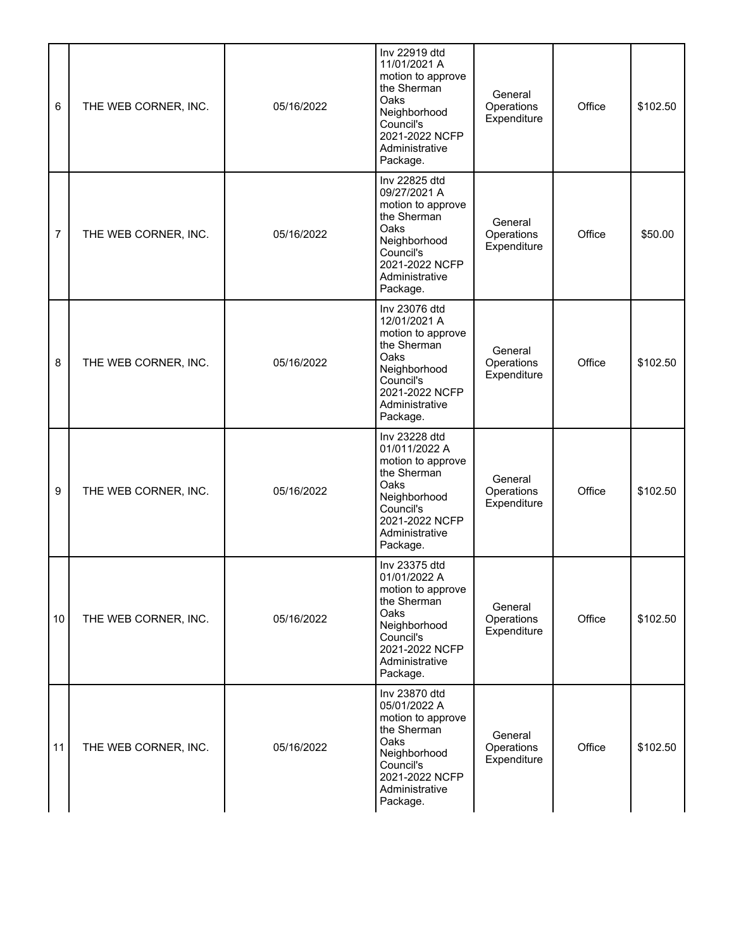| 6  | THE WEB CORNER, INC. | 05/16/2022 | Inv 22919 dtd<br>11/01/2021 A<br>motion to approve<br>the Sherman<br>Oaks<br>Neighborhood<br>Council's<br>2021-2022 NCFP<br>Administrative<br>Package.  | General<br>Operations<br>Expenditure | Office | \$102.50 |
|----|----------------------|------------|---------------------------------------------------------------------------------------------------------------------------------------------------------|--------------------------------------|--------|----------|
| 7  | THE WEB CORNER, INC. | 05/16/2022 | Inv 22825 dtd<br>09/27/2021 A<br>motion to approve<br>the Sherman<br>Oaks<br>Neighborhood<br>Council's<br>2021-2022 NCFP<br>Administrative<br>Package.  | General<br>Operations<br>Expenditure | Office | \$50.00  |
| 8  | THE WEB CORNER, INC. | 05/16/2022 | Inv 23076 dtd<br>12/01/2021 A<br>motion to approve<br>the Sherman<br>Oaks<br>Neighborhood<br>Council's<br>2021-2022 NCFP<br>Administrative<br>Package.  | General<br>Operations<br>Expenditure | Office | \$102.50 |
| 9  | THE WEB CORNER, INC. | 05/16/2022 | Inv 23228 dtd<br>01/011/2022 A<br>motion to approve<br>the Sherman<br>Oaks<br>Neighborhood<br>Council's<br>2021-2022 NCFP<br>Administrative<br>Package. | General<br>Operations<br>Expenditure | Office | \$102.50 |
| 10 | THE WEB CORNER, INC. | 05/16/2022 | Inv 23375 dtd<br>01/01/2022 A<br>motion to approve<br>the Sherman<br>Oaks<br>Neighborhood<br>Council's<br>2021-2022 NCFP<br>Administrative<br>Package.  | General<br>Operations<br>Expenditure | Office | \$102.50 |
| 11 | THE WEB CORNER, INC. | 05/16/2022 | Inv 23870 dtd<br>05/01/2022 A<br>motion to approve<br>the Sherman<br>Oaks<br>Neighborhood<br>Council's<br>2021-2022 NCFP<br>Administrative<br>Package.  | General<br>Operations<br>Expenditure | Office | \$102.50 |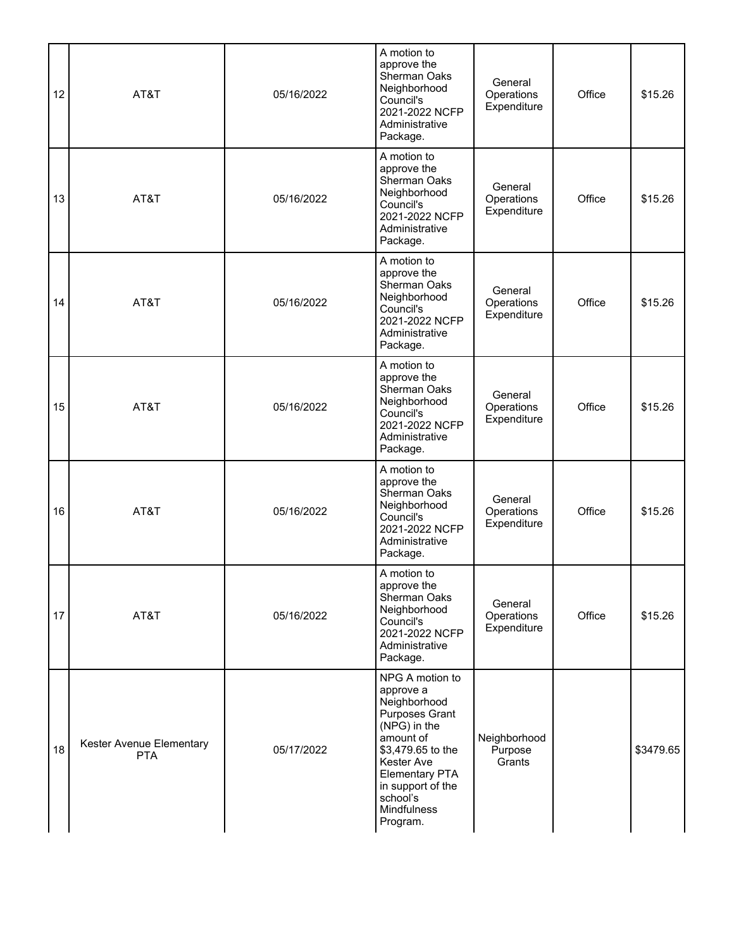| 12 | AT&T                                   | 05/16/2022 | A motion to<br>approve the<br>Sherman Oaks<br>Neighborhood<br>Council's<br>2021-2022 NCFP<br>Administrative<br>Package.                                                                                                    | General<br>Operations<br>Expenditure | Office | \$15.26   |
|----|----------------------------------------|------------|----------------------------------------------------------------------------------------------------------------------------------------------------------------------------------------------------------------------------|--------------------------------------|--------|-----------|
| 13 | AT&T                                   | 05/16/2022 | A motion to<br>approve the<br>Sherman Oaks<br>Neighborhood<br>Council's<br>2021-2022 NCFP<br>Administrative<br>Package.                                                                                                    | General<br>Operations<br>Expenditure | Office | \$15.26   |
| 14 | AT&T                                   | 05/16/2022 | A motion to<br>approve the<br>Sherman Oaks<br>Neighborhood<br>Council's<br>2021-2022 NCFP<br>Administrative<br>Package.                                                                                                    | General<br>Operations<br>Expenditure | Office | \$15.26   |
| 15 | AT&T                                   | 05/16/2022 | A motion to<br>approve the<br>Sherman Oaks<br>Neighborhood<br>Council's<br>2021-2022 NCFP<br>Administrative<br>Package.                                                                                                    | General<br>Operations<br>Expenditure | Office | \$15.26   |
| 16 | AT&T                                   | 05/16/2022 | A motion to<br>approve the<br>Sherman Oaks<br>Neighborhood<br>Council's<br>2021-2022 NCFP<br>Administrative<br>Package.                                                                                                    | General<br>Operations<br>Expenditure | Office | \$15.26   |
| 17 | AT&T                                   | 05/16/2022 | A motion to<br>approve the<br>Sherman Oaks<br>Neighborhood<br>Council's<br>2021-2022 NCFP<br>Administrative<br>Package.                                                                                                    | General<br>Operations<br>Expenditure | Office | \$15.26   |
| 18 | Kester Avenue Elementary<br><b>PTA</b> | 05/17/2022 | NPG A motion to<br>approve a<br>Neighborhood<br><b>Purposes Grant</b><br>(NPG) in the<br>amount of<br>\$3,479.65 to the<br>Kester Ave<br><b>Elementary PTA</b><br>in support of the<br>school's<br>Mindfulness<br>Program. | Neighborhood<br>Purpose<br>Grants    |        | \$3479.65 |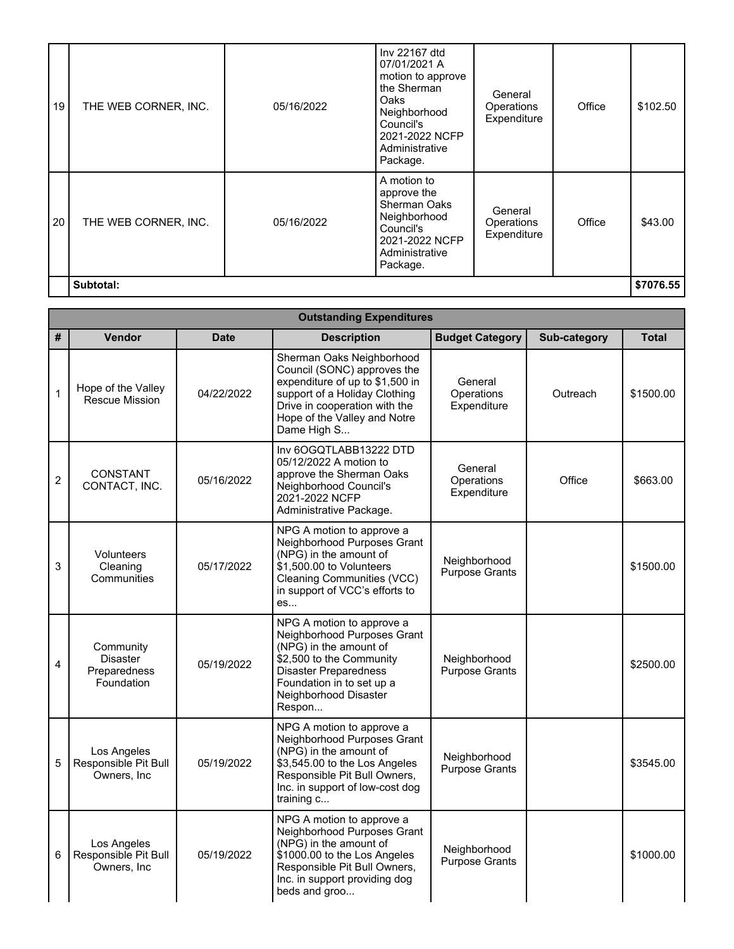| 19 | THE WEB CORNER, INC. | 05/16/2022 | Inv 22167 dtd<br>07/01/2021 A<br>motion to approve<br>the Sherman<br>Oaks<br>Neighborhood<br>Council's<br>2021-2022 NCFP<br>Administrative<br>Package. | General<br>Operations<br>Expenditure | Office | \$102.50  |
|----|----------------------|------------|--------------------------------------------------------------------------------------------------------------------------------------------------------|--------------------------------------|--------|-----------|
| 20 | THE WEB CORNER, INC. | 05/16/2022 | A motion to<br>approve the<br><b>Sherman Oaks</b><br>Neighborhood<br>Council's<br>2021-2022 NCFP<br>Administrative<br>Package.                         | General<br>Operations<br>Expenditure | Office | \$43.00   |
|    | Subtotal:            |            |                                                                                                                                                        |                                      |        | \$7076.55 |

|                | <b>Outstanding Expenditures</b>                            |             |                                                                                                                                                                                                                |                                      |              |              |  |  |
|----------------|------------------------------------------------------------|-------------|----------------------------------------------------------------------------------------------------------------------------------------------------------------------------------------------------------------|--------------------------------------|--------------|--------------|--|--|
| #              | <b>Vendor</b>                                              | <b>Date</b> | <b>Description</b>                                                                                                                                                                                             | <b>Budget Category</b>               | Sub-category | <b>Total</b> |  |  |
| $\mathbf{1}$   | Hope of the Valley<br>Rescue Mission                       | 04/22/2022  | Sherman Oaks Neighborhood<br>Council (SONC) approves the<br>expenditure of up to \$1,500 in<br>support of a Holiday Clothing<br>Drive in cooperation with the<br>Hope of the Valley and Notre<br>Dame High S   | General<br>Operations<br>Expenditure | Outreach     | \$1500.00    |  |  |
| $\overline{c}$ | <b>CONSTANT</b><br>CONTACT, INC.                           | 05/16/2022  | Inv 6OGQTLABB13222 DTD<br>05/12/2022 A motion to<br>approve the Sherman Oaks<br>Neighborhood Council's<br>2021-2022 NCFP<br>Administrative Package.                                                            | General<br>Operations<br>Expenditure | Office       | \$663.00     |  |  |
| 3              | Volunteers<br>Cleaning<br>Communities                      | 05/17/2022  | NPG A motion to approve a<br>Neighborhood Purposes Grant<br>(NPG) in the amount of<br>$$1,500.00$ to Volunteers<br><b>Cleaning Communities (VCC)</b><br>in support of VCC's efforts to<br>es                   | Neighborhood<br>Purpose Grants       |              | \$1500.00    |  |  |
| 4              | Community<br><b>Disaster</b><br>Preparedness<br>Foundation | 05/19/2022  | NPG A motion to approve a<br>Neighborhood Purposes Grant<br>(NPG) in the amount of<br>\$2,500 to the Community<br><b>Disaster Preparedness</b><br>Foundation in to set up a<br>Neighborhood Disaster<br>Respon | Neighborhood<br>Purpose Grants       |              | \$2500.00    |  |  |
| 5              | Los Angeles<br>Responsible Pit Bull<br>Owners, Inc.        | 05/19/2022  | NPG A motion to approve a<br>Neighborhood Purposes Grant<br>(NPG) in the amount of<br>\$3,545.00 to the Los Angeles<br>Responsible Pit Bull Owners,<br>Inc. in support of low-cost dog<br>training c           | Neighborhood<br>Purpose Grants       |              | \$3545.00    |  |  |
| 6              | Los Angeles<br>Responsible Pit Bull<br>Owners, Inc         | 05/19/2022  | NPG A motion to approve a<br>Neighborhood Purposes Grant<br>(NPG) in the amount of<br>\$1000.00 to the Los Angeles<br>Responsible Pit Bull Owners,<br>Inc. in support providing dog<br>beds and groo           | Neighborhood<br>Purpose Grants       |              | \$1000.00    |  |  |